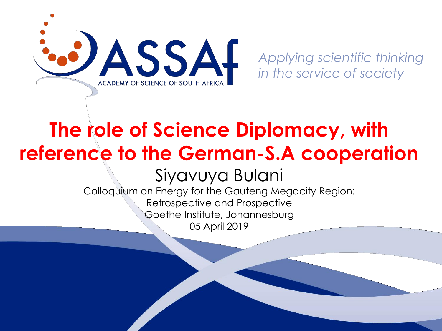

*in the service of society*

#### **The role of Science Diplomacy, with reference to the German-S.A cooperation**

Siyavuya Bulani

Colloquium on Energy for the Gauteng Megacity Region: Retrospective and Prospective Goethe Institute, Johannesburg 05 April 2019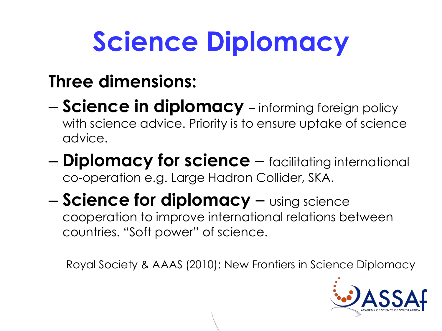### **Science Diplomacy**

#### **Three dimensions:**

- **Science in diplomacy**  informing foreign policy with science advice. Priority is to ensure uptake of science advice.
- **Diplomacy for science**  facilitating international co-operation e.g. Large Hadron Collider, SKA.

#### – **Science for diplomacy** – using science cooperation to improve international relations between countries. "Soft power" of science.

Royal Society & AAAS (2010): New Frontiers in Science Diplomacy

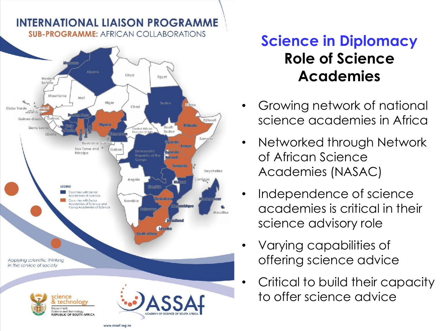

**INTERNATIONAL LIAISON PROGRAMME** 

#### **Science in Diplomacy Role of Science Academies**

- Growing network of national science academies in Africa
- Networked through Network of African Science Academies (NASAC)
- Independence of science academies is critical in their science advisory role
- Varying capabilities of offering science advice
- Critical to build their capacity to offer science advice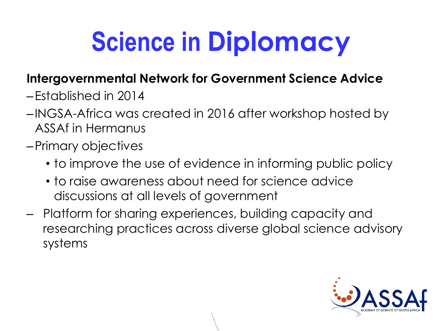### **Science in Diplomacy**

#### **Intergovernmental Network for Government Science Advice**

- –Established in 2014
- –INGSA-Africa was created in 2016 after workshop hosted by ASSAf in Hermanus
- –Primary objectives
	- to improve the use of evidence in informing public policy
	- to raise awareness about need for science advice discussions at all levels of government
- Platform for sharing experiences, building capacity and researching practices across diverse global science advisory systems

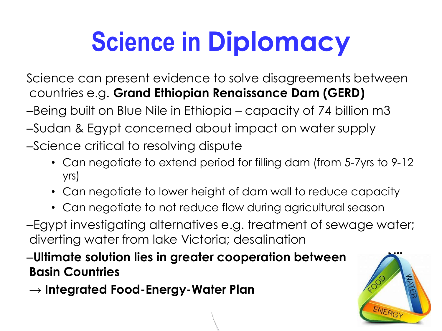### **Science in Diplomacy**

Science can present evidence to solve disagreements between countries e.g. **Grand Ethiopian Renaissance Dam (GERD)**

–Being built on Blue Nile in Ethiopia – capacity of 74 billion m3

- –Sudan & Egypt concerned about impact on water supply
- –Science critical to resolving dispute
	- Can negotiate to extend period for filling dam (from 5-7yrs to 9-12 yrs)
	- Can negotiate to lower height of dam wall to reduce capacity
	- Can negotiate to not reduce flow during agricultural season

–Egypt investigating alternatives e.g. treatment of sewage water; diverting water from lake Victoria; desalination

 $-$ Ultimate solution lies in greater cooperation between **Basin Countries**

**→ Integrated Food-Energy-Water Plan**

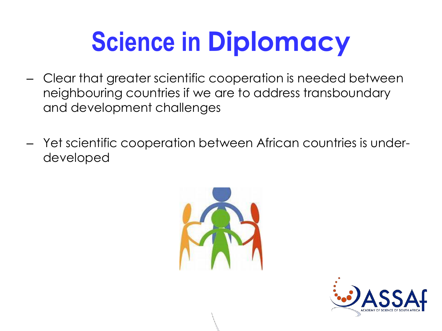### **Science in Diplomacy**

- Clear that greater scientific cooperation is needed between neighbouring countries if we are to address transboundary and development challenges
- Yet scientific cooperation between African countries is underdeveloped



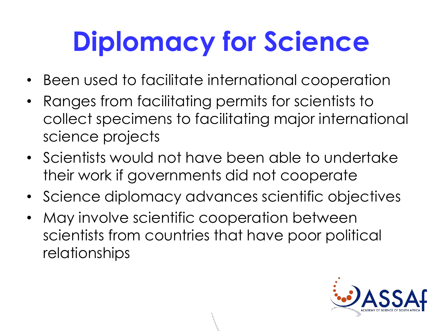# **Diplomacy for Science**

- Been used to facilitate international cooperation
- Ranges from facilitating permits for scientists to collect specimens to facilitating major international science projects
- Scientists would not have been able to undertake their work if governments did not cooperate
- Science diplomacy advances scientific objectives
- May involve scientific cooperation between scientists from countries that have poor political relationships

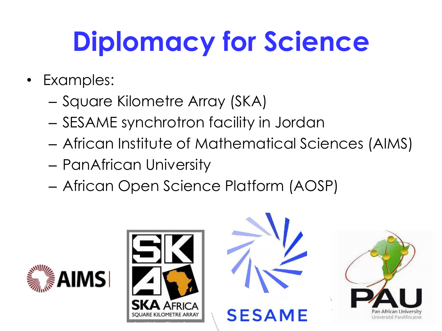# **Diplomacy for Science**

- Examples:
	- Square Kilometre Array (SKA)
	- SESAME synchrotron facility in Jordan
	- African Institute of Mathematical Sciences (AIMS)
	- PanAfrican University
	- African Open Science Platform (AOSP)







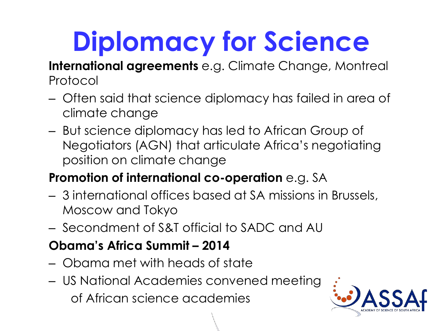## **Diplomacy for Science**

**International agreements** e.g. Climate Change, Montreal Protocol

- Often said that science diplomacy has failed in area of climate change
- But science diplomacy has led to African Group of Negotiators (AGN) that articulate Africa's negotiating position on climate change

#### **Promotion of international co-operation** e.g. SA

- 3 international offices based at SA missions in Brussels, Moscow and Tokyo
- Secondment of S&T official to SADC and AU

#### **Obama's Africa Summit – 2014**

- Obama met with heads of state
- US National Academies convened meeting of African science academies

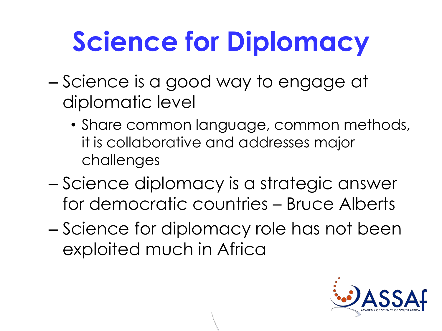## **Science for Diplomacy**

- Science is a good way to engage at diplomatic level
	- Share common language, common methods, it is collaborative and addresses major challenges
- Science diplomacy is a strategic answer for democratic countries – Bruce Alberts
- Science for diplomacy role has not been exploited much in Africa

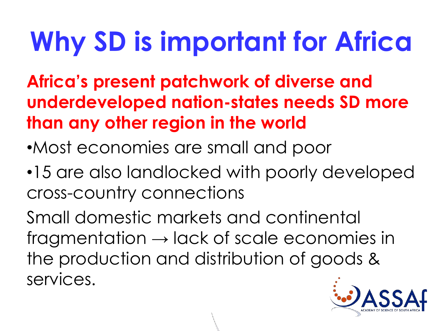### **Why SD is important for Africa**

**Africa's present patchwork of diverse and underdeveloped nation-states needs SD more than any other region in the world**

- •Most economies are small and poor
- •15 are also landlocked with poorly developed cross-country connections

Small domestic markets and continental fragmentation  $\rightarrow$  lack of scale economies in the production and distribution of goods & services.

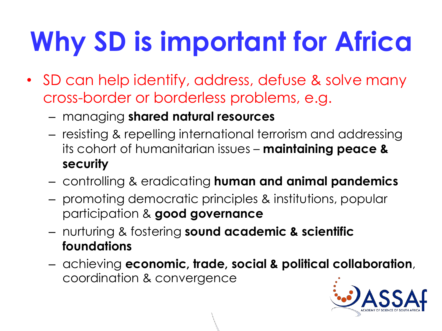# **Why SD is important for Africa**

- SD can help identify, address, defuse & solve many cross-border or borderless problems, e.g.
	- managing **shared natural resources**
	- resisting & repelling international terrorism and addressing its cohort of humanitarian issues – **maintaining peace & security**
	- controlling & eradicating **human and animal pandemics**
	- promoting democratic principles & institutions, popular participation & **good governance**
	- nurturing & fostering **sound academic & scientific foundations**
	- achieving **economic, trade, social & political collaboration**, coordination & convergence

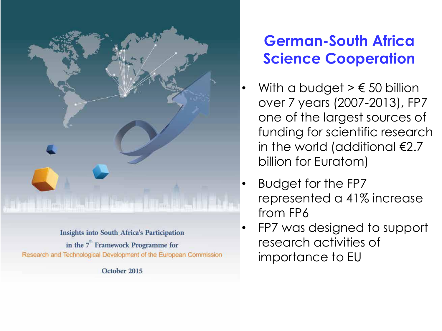

**Insights into South Africa's Participation** in the  $7<sup>th</sup>$  Framework Programme for Research and Technological Development of the European Commission

October 2015

#### **German-South Africa Science Cooperation**

- With a budget  $> \epsilon$  50 billion over 7 years (2007-2013), FP7 one of the largest sources of funding for scientific research in the world (additional €2.7 billion for Euratom)
- Budget for the FP7 represented a 41% increase from FP6
- FP7 was designed to support research activities of importance to EU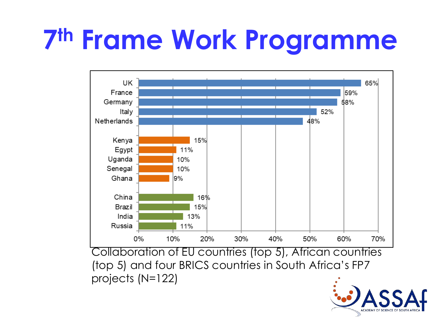### **7 th Frame Work Programme**



Collaboration of EU countries (top 5), African countries (top 5) and four BRICS countries in South Africa's FP7 projects (N=122)

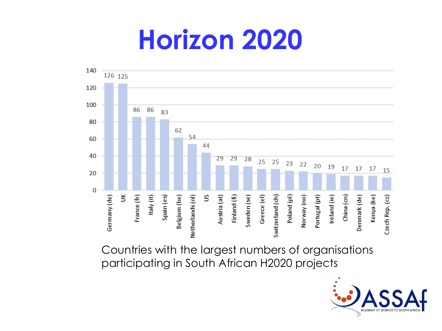#### **Horizon 2020**



Countries with the largest numbers of organisations participating in South African H2020 projects

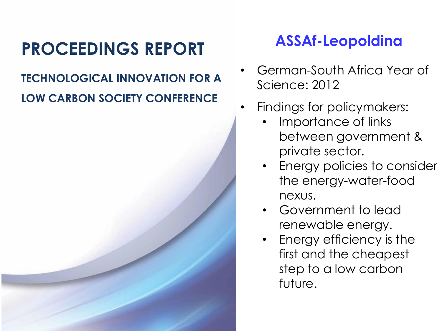#### **PROCEEDINGS REPORT**

#### **TECHNOLOGICAL INNOVATION FOR A LOW CARBON SOCIETY CONFERENCE**

#### **ASSAf-Leopoldina**

- German-South Africa Year of Science: 2012
- Findings for policymakers:
	- Importance of links between government & private sector.
	- Energy policies to consider the energy-water-food nexus.
	- Government to lead renewable energy.
	- Energy efficiency is the first and the cheapest step to a low carbon future.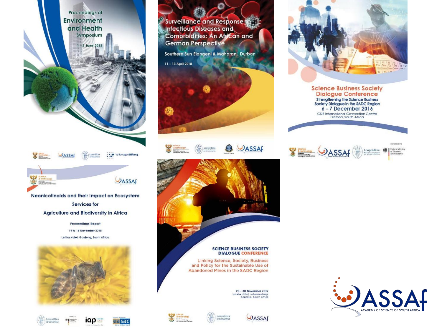**Proceedings of Environment** and Health Symposium

 $-3$  June 2015





Agriculture and Biodiversity in Africa

Proceedings Report 14 to 16 November 2018 Leriba Hotel, Gauteng, South Africa













Surveillance and Response to

Comorbidities: An African and

Southern Sun Elangeni & Maharani, Durban

**Infectious Diseases and** 

**German Perspective** 

11-13 April 2018

黍

**Window** 

传

Leopoldina<br>as missing

**QB** 



**SCIENCE BUSINESS SOCIETY DIALOGUE CONFERENCE** 

Linking Science, Society, Business and Policy for the Sustainable Use of Abandoned Mines in the SADC Region



28 - 30 November 2017 Indaba Hotel, Johannesburg,<br>Gauteng, South Africa

**DASSAF** 





#### **Science Business Society Dialogue Conference** Strengthening the Science Business<br>Society Dialogue in the SADC Region  $6 - 7$  December 2016

CSIR International Convention Centre<br>Pretoria, South Africa



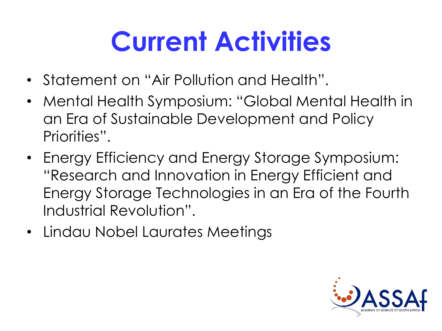### **Current Activities**

- Statement on "Air Pollution and Health".
- Mental Health Symposium: "Global Mental Health in an Era of Sustainable Development and Policy Priorities".
- Energy Efficiency and Energy Storage Symposium: "Research and Innovation in Energy Efficient and Energy Storage Technologies in an Era of the Fourth Industrial Revolution".
- Lindau Nobel Laurates Meetings